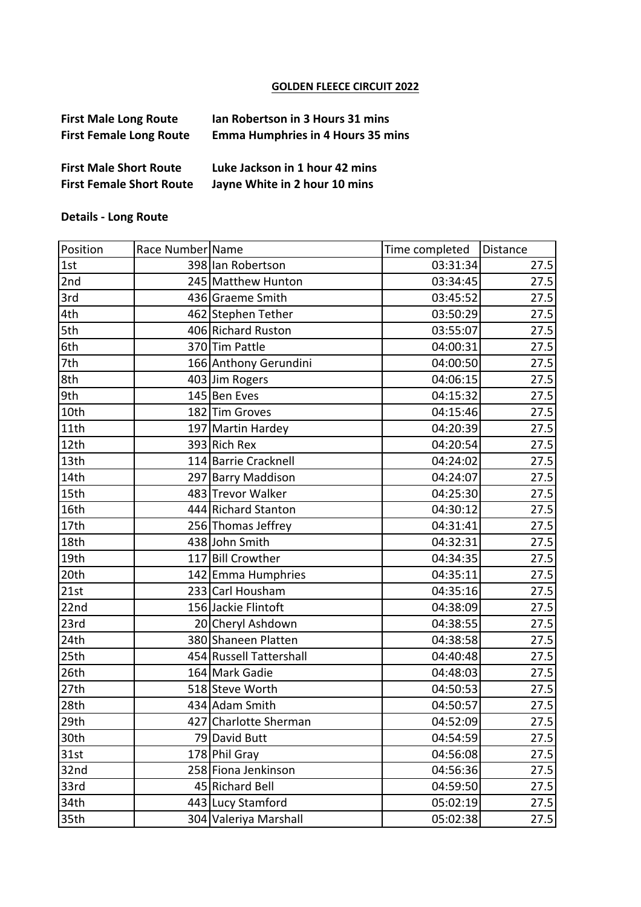## **GOLDEN FLEECE CIRCUIT 2022**

| <b>First Male Long Route</b>    | Ian Robertson in 3 Hours 31 mins         |
|---------------------------------|------------------------------------------|
| <b>First Female Long Route</b>  | <b>Emma Humphries in 4 Hours 35 mins</b> |
| <b>First Male Short Route</b>   | Luke Jackson in 1 hour 42 mins           |
| <b>First Female Short Route</b> | Jayne White in 2 hour 10 mins            |

## **Details - Long Route**

| Position | Race Number Name |                         | Time completed | Distance |
|----------|------------------|-------------------------|----------------|----------|
| 1st      |                  | 398 lan Robertson       | 03:31:34       | 27.5     |
| 2nd      |                  | 245 Matthew Hunton      | 03:34:45       | 27.5     |
| 3rd      |                  | 436 Graeme Smith        | 03:45:52       | 27.5     |
| 4th      |                  | 462 Stephen Tether      | 03:50:29       | 27.5     |
| 5th      |                  | 406 Richard Ruston      | 03:55:07       | 27.5     |
| 6th      |                  | 370 Tim Pattle          | 04:00:31       | 27.5     |
| 7th      |                  | 166 Anthony Gerundini   | 04:00:50       | 27.5     |
| 8th      |                  | 403 Jim Rogers          | 04:06:15       | 27.5     |
| 9th      |                  | 145 Ben Eves            | 04:15:32       | 27.5     |
| 10th     |                  | 182 Tim Groves          | 04:15:46       | 27.5     |
| 11th     |                  | 197 Martin Hardey       | 04:20:39       | 27.5     |
| 12th     |                  | 393 Rich Rex            | 04:20:54       | 27.5     |
| 13th     |                  | 114 Barrie Cracknell    | 04:24:02       | 27.5     |
| 14th     |                  | 297 Barry Maddison      | 04:24:07       | 27.5     |
| 15th     |                  | 483 Trevor Walker       | 04:25:30       | 27.5     |
| 16th     |                  | 444 Richard Stanton     | 04:30:12       | 27.5     |
| 17th     |                  | 256 Thomas Jeffrey      | 04:31:41       | 27.5     |
| 18th     |                  | 438 John Smith          | 04:32:31       | 27.5     |
| 19th     |                  | 117 Bill Crowther       | 04:34:35       | 27.5     |
| 20th     |                  | 142 Emma Humphries      | 04:35:11       | 27.5     |
| 21st     |                  | 233 Carl Housham        | 04:35:16       | 27.5     |
| 22nd     |                  | 156 Jackie Flintoft     | 04:38:09       | 27.5     |
| 23rd     |                  | 20 Cheryl Ashdown       | 04:38:55       | 27.5     |
| 24th     |                  | 380 Shaneen Platten     | 04:38:58       | 27.5     |
| 25th     |                  | 454 Russell Tattershall | 04:40:48       | 27.5     |
| 26th     |                  | 164 Mark Gadie          | 04:48:03       | 27.5     |
| 27th     |                  | 518 Steve Worth         | 04:50:53       | 27.5     |
| 28th     |                  | 434 Adam Smith          | 04:50:57       | 27.5     |
| 29th     |                  | 427 Charlotte Sherman   | 04:52:09       | 27.5     |
| 30th     |                  | 79 David Butt           | 04:54:59       | 27.5     |
| 31st     |                  | 178 Phil Gray           | 04:56:08       | 27.5     |
| 32nd     |                  | 258 Fiona Jenkinson     | 04:56:36       | 27.5     |
| 33rd     |                  | 45 Richard Bell         | 04:59:50       | 27.5     |
| 34th     |                  | 443 Lucy Stamford       | 05:02:19       | 27.5     |
| 35th     |                  | 304 Valeriya Marshall   | 05:02:38       | 27.5     |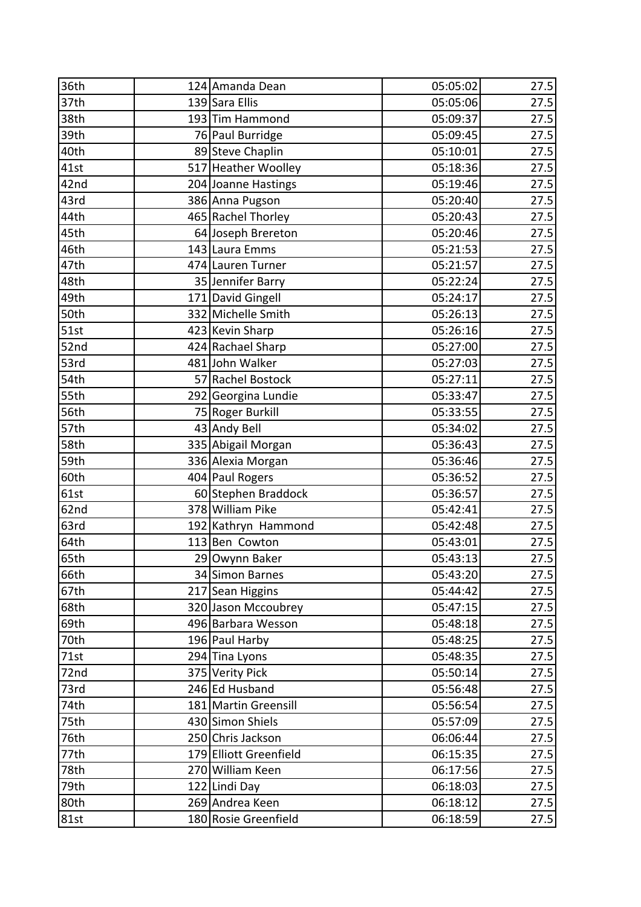| 36th | 124 Amanda Dean        | 05:05:02 | 27.5 |
|------|------------------------|----------|------|
| 37th | 139 Sara Ellis         | 05:05:06 | 27.5 |
| 38th | 193 Tim Hammond        | 05:09:37 | 27.5 |
| 39th | 76 Paul Burridge       | 05:09:45 | 27.5 |
| 40th | 89 Steve Chaplin       | 05:10:01 | 27.5 |
| 41st | 517 Heather Woolley    | 05:18:36 | 27.5 |
| 42nd | 204 Joanne Hastings    | 05:19:46 | 27.5 |
| 43rd | 386 Anna Pugson        | 05:20:40 | 27.5 |
| 44th | 465 Rachel Thorley     | 05:20:43 | 27.5 |
| 45th | 64 Joseph Brereton     | 05:20:46 | 27.5 |
| 46th | 143 Laura Emms         | 05:21:53 | 27.5 |
| 47th | 474 Lauren Turner      | 05:21:57 | 27.5 |
| 48th | 35 Jennifer Barry      | 05:22:24 | 27.5 |
| 49th | 171 David Gingell      | 05:24:17 | 27.5 |
| 50th | 332 Michelle Smith     | 05:26:13 | 27.5 |
| 51st | 423 Kevin Sharp        | 05:26:16 | 27.5 |
| 52nd | 424 Rachael Sharp      | 05:27:00 | 27.5 |
| 53rd | 481 John Walker        | 05:27:03 | 27.5 |
| 54th | 57 Rachel Bostock      | 05:27:11 | 27.5 |
| 55th | 292 Georgina Lundie    | 05:33:47 | 27.5 |
| 56th | 75 Roger Burkill       | 05:33:55 | 27.5 |
| 57th | 43 Andy Bell           | 05:34:02 | 27.5 |
| 58th | 335 Abigail Morgan     | 05:36:43 | 27.5 |
| 59th | 336 Alexia Morgan      | 05:36:46 | 27.5 |
| 60th | 404 Paul Rogers        | 05:36:52 | 27.5 |
| 61st | 60 Stephen Braddock    | 05:36:57 | 27.5 |
| 62nd | 378 William Pike       | 05:42:41 | 27.5 |
| 63rd | 192 Kathryn Hammond    | 05:42:48 | 27.5 |
| 64th | 113 Ben Cowton         | 05:43:01 | 27.5 |
| 65th | 29 Owynn Baker         | 05:43:13 | 27.5 |
| 66th | 34 Simon Barnes        | 05:43:20 | 27.5 |
| 67th | 217 Sean Higgins       | 05:44:42 | 27.5 |
| 68th | 320 Jason Mccoubrey    | 05:47:15 | 27.5 |
| 69th | 496 Barbara Wesson     | 05:48:18 | 27.5 |
| 70th | 196 Paul Harby         | 05:48:25 | 27.5 |
| 71st | 294 Tina Lyons         | 05:48:35 | 27.5 |
| 72nd | 375 Verity Pick        | 05:50:14 | 27.5 |
| 73rd | 246 Ed Husband         | 05:56:48 | 27.5 |
| 74th | 181 Martin Greensill   | 05:56:54 | 27.5 |
| 75th | 430 Simon Shiels       | 05:57:09 | 27.5 |
| 76th | 250 Chris Jackson      | 06:06:44 | 27.5 |
| 77th | 179 Elliott Greenfield | 06:15:35 | 27.5 |
| 78th | 270 William Keen       | 06:17:56 | 27.5 |
| 79th | 122 Lindi Day          | 06:18:03 | 27.5 |
| 80th | 269 Andrea Keen        | 06:18:12 | 27.5 |
| 81st | 180 Rosie Greenfield   | 06:18:59 | 27.5 |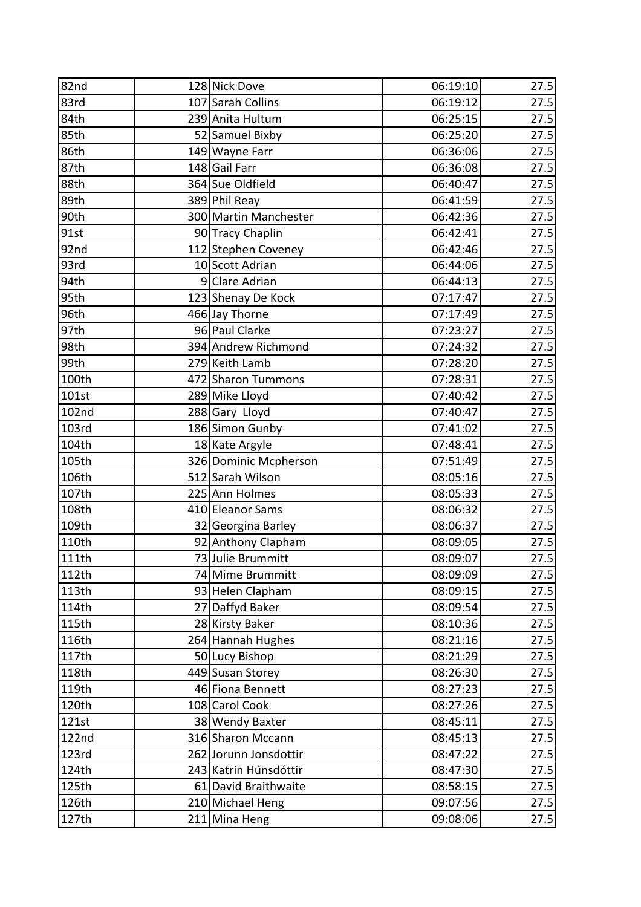| 82nd         | 128 Nick Dove         | 06:19:10 | 27.5 |
|--------------|-----------------------|----------|------|
| 83rd         | 107 Sarah Collins     | 06:19:12 | 27.5 |
| 84th         | 239 Anita Hultum      | 06:25:15 | 27.5 |
| 85th         | 52 Samuel Bixby       | 06:25:20 | 27.5 |
| 86th         | 149 Wayne Farr        | 06:36:06 | 27.5 |
| 87th         | 148 Gail Farr         | 06:36:08 | 27.5 |
| 88th         | 364 Sue Oldfield      | 06:40:47 | 27.5 |
| 89th         | 389 Phil Reay         | 06:41:59 | 27.5 |
| 90th         | 300 Martin Manchester | 06:42:36 | 27.5 |
| 91st         | 90 Tracy Chaplin      | 06:42:41 | 27.5 |
| 92nd         | 112 Stephen Coveney   | 06:42:46 | 27.5 |
| 93rd         | 10 Scott Adrian       | 06:44:06 | 27.5 |
| 94th         | 9 Clare Adrian        | 06:44:13 | 27.5 |
| 95th         | 123 Shenay De Kock    | 07:17:47 | 27.5 |
| 96th         | 466 Jay Thorne        | 07:17:49 | 27.5 |
| 97th         | 96 Paul Clarke        | 07:23:27 | 27.5 |
| 98th         | 394 Andrew Richmond   | 07:24:32 | 27.5 |
| 99th         | 279 Keith Lamb        | 07:28:20 | 27.5 |
| 100th        | 472 Sharon Tummons    | 07:28:31 | 27.5 |
| 101st        | 289 Mike Lloyd        | 07:40:42 | 27.5 |
| 102nd        | 288 Gary Lloyd        | 07:40:47 | 27.5 |
| 103rd        | 186 Simon Gunby       | 07:41:02 | 27.5 |
| 104th        | 18 Kate Argyle        | 07:48:41 | 27.5 |
| 105th        | 326 Dominic Mcpherson | 07:51:49 | 27.5 |
| 106th        | 512 Sarah Wilson      | 08:05:16 | 27.5 |
| 107th        | 225 Ann Holmes        | 08:05:33 | 27.5 |
| 108th        | 410 Eleanor Sams      | 08:06:32 | 27.5 |
| 109th        | 32 Georgina Barley    | 08:06:37 | 27.5 |
| 110th        | 92 Anthony Clapham    | 08:09:05 | 27.5 |
| 111th        | 73 Julie Brummitt     | 08:09:07 | 27.5 |
| 112th        | 74 Mime Brummitt      | 08:09:09 | 27.5 |
| 113th        | 93 Helen Clapham      | 08:09:15 | 27.5 |
| 114th        | 27 Daffyd Baker       | 08:09:54 | 27.5 |
| 115th        | 28 Kirsty Baker       | 08:10:36 | 27.5 |
| 116th        | 264 Hannah Hughes     | 08:21:16 | 27.5 |
| 117th        | 50 Lucy Bishop        | 08:21:29 | 27.5 |
| 118th        | 449 Susan Storey      | 08:26:30 | 27.5 |
| 119th        | 46 Fiona Bennett      | 08:27:23 | 27.5 |
| 120th        | 108 Carol Cook        | 08:27:26 | 27.5 |
| 121st        | 38 Wendy Baxter       | 08:45:11 | 27.5 |
| <b>122nd</b> | 316 Sharon Mccann     | 08:45:13 | 27.5 |
| 123rd        | 262 Jorunn Jonsdottir | 08:47:22 | 27.5 |
| 124th        | 243 Katrin Húnsdóttir | 08:47:30 | 27.5 |
| 125th        | 61 David Braithwaite  | 08:58:15 | 27.5 |
| 126th        | 210 Michael Heng      | 09:07:56 | 27.5 |
| 127th        | 211 Mina Heng         | 09:08:06 | 27.5 |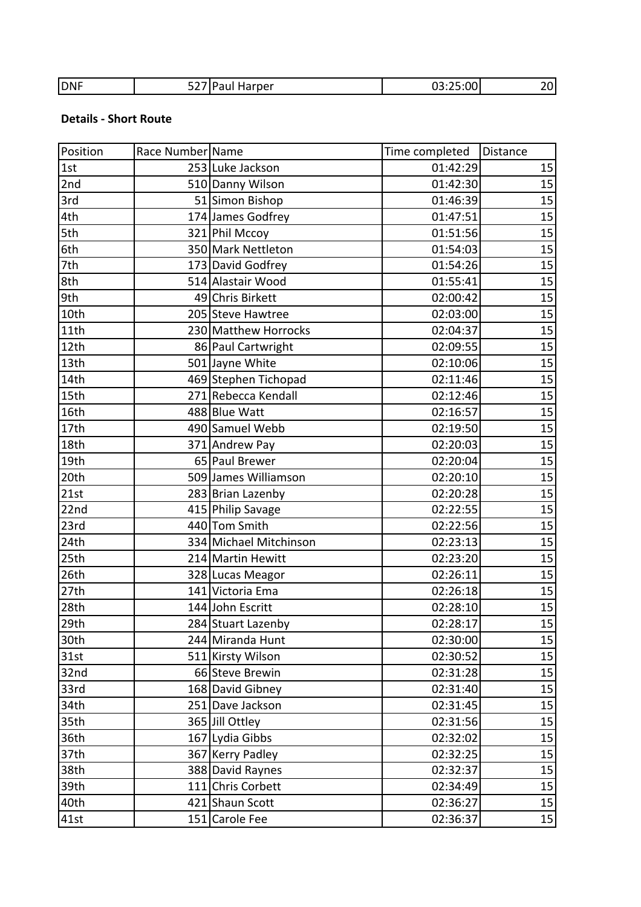|  | <b>DNF</b> | ----- | larper | ו∩∩∙<br>$\sim$ $\sim$<br>$\sim$ |  |
|--|------------|-------|--------|---------------------------------|--|
|--|------------|-------|--------|---------------------------------|--|

## **Details - Short Route**

| Position | Race Number Name |                        | Time completed | Distance |
|----------|------------------|------------------------|----------------|----------|
| 1st      |                  | 253 Luke Jackson       | 01:42:29       | 15       |
| 2nd      |                  | 510 Danny Wilson       | 01:42:30       | 15       |
| 3rd      |                  | 51 Simon Bishop        | 01:46:39       | 15       |
| 4th      |                  | 174 James Godfrey      | 01:47:51       | 15       |
| 5th      |                  | 321 Phil Mccoy         | 01:51:56       | 15       |
| 6th      |                  | 350 Mark Nettleton     | 01:54:03       | 15       |
| 7th      |                  | 173 David Godfrey      | 01:54:26       | 15       |
| 8th      |                  | 514 Alastair Wood      | 01:55:41       | 15       |
| 9th      |                  | 49 Chris Birkett       | 02:00:42       | 15       |
| 10th     |                  | 205 Steve Hawtree      | 02:03:00       | 15       |
| 11th     |                  | 230 Matthew Horrocks   | 02:04:37       | 15       |
| 12th     |                  | 86 Paul Cartwright     | 02:09:55       | 15       |
| 13th     |                  | 501 Jayne White        | 02:10:06       | 15       |
| 14th     |                  | 469 Stephen Tichopad   | 02:11:46       | 15       |
| 15th     |                  | 271 Rebecca Kendall    | 02:12:46       | 15       |
| 16th     |                  | 488 Blue Watt          | 02:16:57       | 15       |
| 17th     |                  | 490 Samuel Webb        | 02:19:50       | 15       |
| 18th     |                  | 371 Andrew Pay         | 02:20:03       | 15       |
| 19th     |                  | 65 Paul Brewer         | 02:20:04       | 15       |
| 20th     |                  | 509 James Williamson   | 02:20:10       | 15       |
| 21st     |                  | 283 Brian Lazenby      | 02:20:28       | 15       |
| 22nd     |                  | 415 Philip Savage      | 02:22:55       | 15       |
| 23rd     |                  | 440 Tom Smith          | 02:22:56       | 15       |
| 24th     |                  | 334 Michael Mitchinson | 02:23:13       | 15       |
| 25th     |                  | 214 Martin Hewitt      | 02:23:20       | 15       |
| 26th     |                  | 328 Lucas Meagor       | 02:26:11       | 15       |
| 27th     |                  | 141 Victoria Ema       | 02:26:18       | 15       |
| 28th     |                  | 144 John Escritt       | 02:28:10       | 15       |
| 29th     |                  | 284 Stuart Lazenby     | 02:28:17       | 15       |
| 30th     |                  | 244 Miranda Hunt       | 02:30:00       | 15       |
| 31st     |                  | 511 Kirsty Wilson      | 02:30:52       | 15       |
| 32nd     |                  | 66 Steve Brewin        | 02:31:28       | 15       |
| 33rd     |                  | 168 David Gibney       | 02:31:40       | 15       |
| 34th     |                  | 251 Dave Jackson       | 02:31:45       | 15       |
| 35th     |                  | 365 Jill Ottley        | 02:31:56       | 15       |
| 36th     |                  | 167 Lydia Gibbs        | 02:32:02       | 15       |
| 37th     |                  | 367 Kerry Padley       | 02:32:25       | 15       |
| 38th     |                  | 388 David Raynes       | 02:32:37       | 15       |
| 39th     |                  | 111 Chris Corbett      | 02:34:49       | 15       |
| 40th     |                  | 421 Shaun Scott        | 02:36:27       | 15       |
| 41st     |                  | 151 Carole Fee         | 02:36:37       | 15       |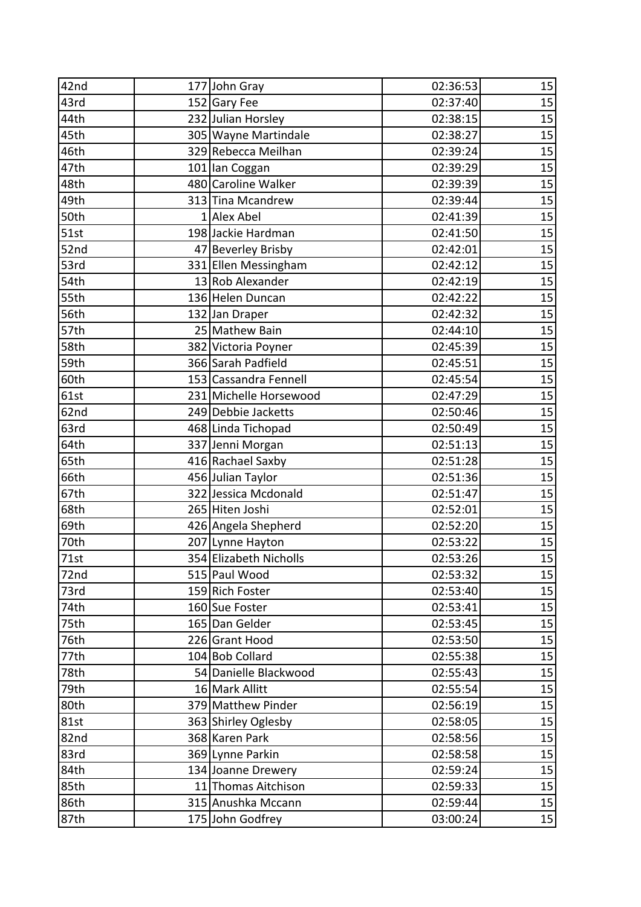| 42nd | 177 John Gray          | 02:36:53 | 15 |
|------|------------------------|----------|----|
| 43rd | 152 Gary Fee           | 02:37:40 | 15 |
| 44th | 232 Julian Horsley     | 02:38:15 | 15 |
| 45th | 305 Wayne Martindale   | 02:38:27 | 15 |
| 46th | 329 Rebecca Meilhan    | 02:39:24 | 15 |
| 47th | 101 lan Coggan         | 02:39:29 | 15 |
| 48th | 480 Caroline Walker    | 02:39:39 | 15 |
| 49th | 313 Tina Mcandrew      | 02:39:44 | 15 |
| 50th | 1 Alex Abel            | 02:41:39 | 15 |
| 51st | 198 Jackie Hardman     | 02:41:50 | 15 |
| 52nd | 47 Beverley Brisby     | 02:42:01 | 15 |
| 53rd | 331 Ellen Messingham   | 02:42:12 | 15 |
| 54th | 13 Rob Alexander       | 02:42:19 | 15 |
| 55th | 136 Helen Duncan       | 02:42:22 | 15 |
| 56th | 132 Jan Draper         | 02:42:32 | 15 |
| 57th | 25 Mathew Bain         | 02:44:10 | 15 |
| 58th | 382 Victoria Poyner    | 02:45:39 | 15 |
| 59th | 366 Sarah Padfield     | 02:45:51 | 15 |
| 60th | 153 Cassandra Fennell  | 02:45:54 | 15 |
| 61st | 231 Michelle Horsewood | 02:47:29 | 15 |
| 62nd | 249 Debbie Jacketts    | 02:50:46 | 15 |
| 63rd | 468 Linda Tichopad     | 02:50:49 | 15 |
| 64th | 337 Jenni Morgan       | 02:51:13 | 15 |
| 65th | 416 Rachael Saxby      | 02:51:28 | 15 |
| 66th | 456 Julian Taylor      | 02:51:36 | 15 |
| 67th | 322 Jessica Mcdonald   | 02:51:47 | 15 |
| 68th | 265 Hiten Joshi        | 02:52:01 | 15 |
| 69th | 426 Angela Shepherd    | 02:52:20 | 15 |
| 70th | 207 Lynne Hayton       | 02:53:22 | 15 |
| 71st | 354 Elizabeth Nicholls | 02:53:26 | 15 |
| 72nd | 515 Paul Wood          | 02:53:32 | 15 |
| 73rd | 159 Rich Foster        | 02:53:40 | 15 |
| 74th | 160 Sue Foster         | 02:53:41 | 15 |
| 75th | 165 Dan Gelder         | 02:53:45 | 15 |
| 76th | 226 Grant Hood         | 02:53:50 | 15 |
| 77th | 104 Bob Collard        | 02:55:38 | 15 |
| 78th | 54 Danielle Blackwood  | 02:55:43 | 15 |
| 79th | 16 Mark Allitt         | 02:55:54 | 15 |
| 80th | 379 Matthew Pinder     | 02:56:19 | 15 |
| 81st | 363 Shirley Oglesby    | 02:58:05 | 15 |
| 82nd | 368 Karen Park         | 02:58:56 | 15 |
| 83rd | 369 Lynne Parkin       | 02:58:58 | 15 |
| 84th | 134 Joanne Drewery     | 02:59:24 | 15 |
| 85th | 11 Thomas Aitchison    | 02:59:33 | 15 |
| 86th | 315 Anushka Mccann     | 02:59:44 | 15 |
| 87th | 175 John Godfrey       | 03:00:24 | 15 |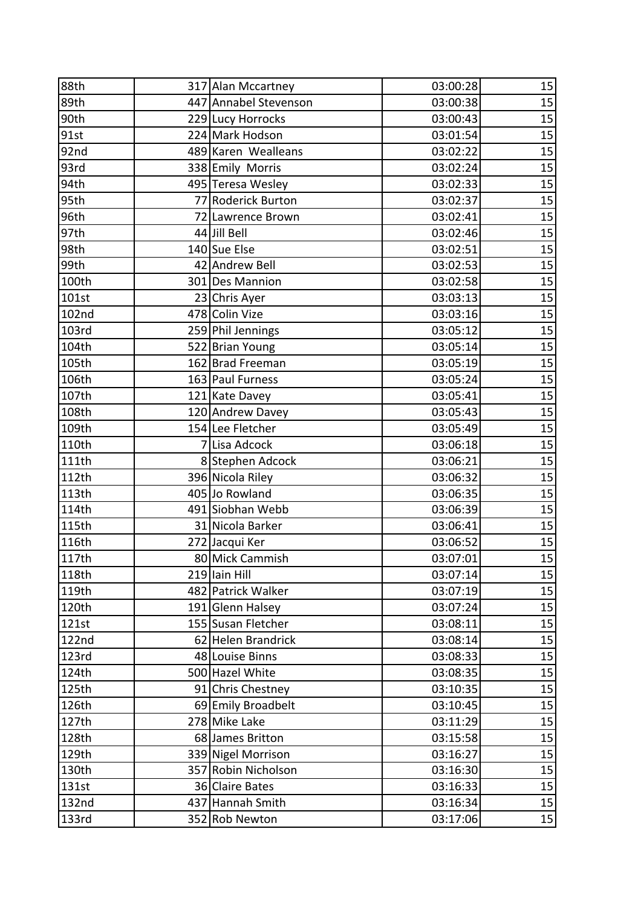| 88th  | 317 Alan Mccartney    | 03:00:28 | 15 |
|-------|-----------------------|----------|----|
| 89th  | 447 Annabel Stevenson | 03:00:38 | 15 |
| 90th  | 229 Lucy Horrocks     | 03:00:43 | 15 |
| 91st  | 224 Mark Hodson       | 03:01:54 | 15 |
| 92nd  | 489 Karen Wealleans   | 03:02:22 | 15 |
| 93rd  | 338 Emily Morris      | 03:02:24 | 15 |
| 94th  | 495 Teresa Wesley     | 03:02:33 | 15 |
| 95th  | 77 Roderick Burton    | 03:02:37 | 15 |
| 96th  | 72 Lawrence Brown     | 03:02:41 | 15 |
| 97th  | 44 Jill Bell          | 03:02:46 | 15 |
| 98th  | 140 Sue Else          | 03:02:51 | 15 |
| 99th  | 42 Andrew Bell        | 03:02:53 | 15 |
| 100th | 301 Des Mannion       | 03:02:58 | 15 |
| 101st | 23 Chris Ayer         | 03:03:13 | 15 |
| 102nd | 478 Colin Vize        | 03:03:16 | 15 |
| 103rd | 259 Phil Jennings     | 03:05:12 | 15 |
| 104th | 522 Brian Young       | 03:05:14 | 15 |
| 105th | 162 Brad Freeman      | 03:05:19 | 15 |
| 106th | 163 Paul Furness      | 03:05:24 | 15 |
| 107th | 121 Kate Davey        | 03:05:41 | 15 |
| 108th | 120 Andrew Davey      | 03:05:43 | 15 |
| 109th | 154 Lee Fletcher      | 03:05:49 | 15 |
| 110th | 7 Lisa Adcock         | 03:06:18 | 15 |
| 111th | 8 Stephen Adcock      | 03:06:21 | 15 |
| 112th | 396 Nicola Riley      | 03:06:32 | 15 |
| 113th | 405 Jo Rowland        | 03:06:35 | 15 |
| 114th | 491 Siobhan Webb      | 03:06:39 | 15 |
| 115th | 31 Nicola Barker      | 03:06:41 | 15 |
| 116th | 272 Jacqui Ker        | 03:06:52 | 15 |
| 117th | 80 Mick Cammish       | 03:07:01 | 15 |
| 118th | 219 Iain Hill         | 03:07:14 | 15 |
| 119th | 482 Patrick Walker    | 03:07:19 | 15 |
| 120th | 191 Glenn Halsey      | 03:07:24 | 15 |
| 121st | 155 Susan Fletcher    | 03:08:11 | 15 |
| 122nd | 62 Helen Brandrick    | 03:08:14 | 15 |
| 123rd | 48 Louise Binns       | 03:08:33 | 15 |
| 124th | 500 Hazel White       | 03:08:35 | 15 |
| 125th | 91 Chris Chestney     | 03:10:35 | 15 |
| 126th | 69 Emily Broadbelt    | 03:10:45 | 15 |
| 127th | 278 Mike Lake         | 03:11:29 | 15 |
| 128th | 68 James Britton      | 03:15:58 | 15 |
| 129th | 339 Nigel Morrison    | 03:16:27 | 15 |
| 130th | 357 Robin Nicholson   | 03:16:30 | 15 |
| 131st | 36 Claire Bates       | 03:16:33 | 15 |
| 132nd | 437 Hannah Smith      | 03:16:34 | 15 |
| 133rd | 352 Rob Newton        | 03:17:06 | 15 |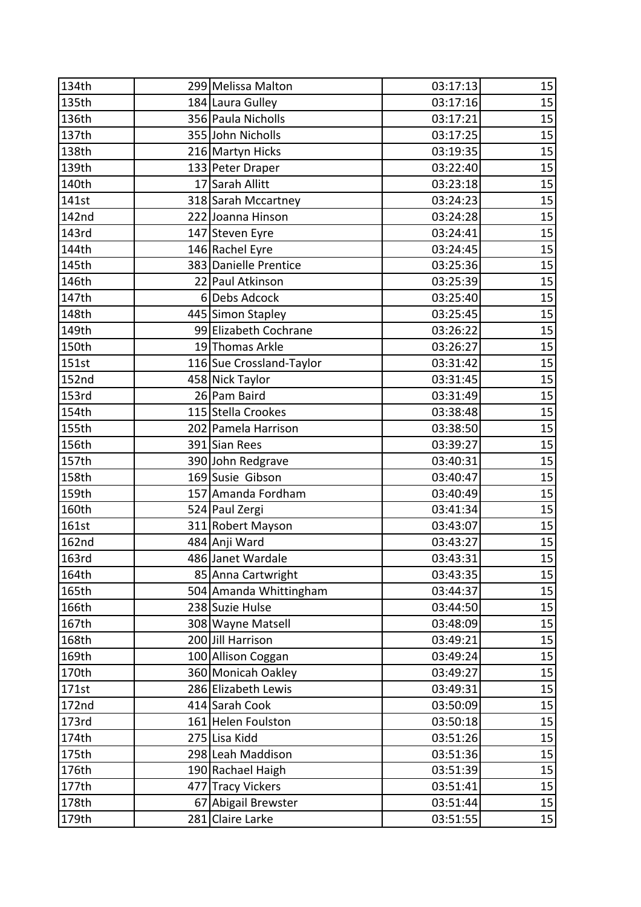| 134th | 299 Melissa Malton       | 03:17:13 | 15 |
|-------|--------------------------|----------|----|
| 135th | 184 Laura Gulley         | 03:17:16 | 15 |
| 136th | 356 Paula Nicholls       | 03:17:21 | 15 |
| 137th | 355 John Nicholls        | 03:17:25 | 15 |
| 138th | 216 Martyn Hicks         | 03:19:35 | 15 |
| 139th | 133 Peter Draper         | 03:22:40 | 15 |
| 140th | 17 Sarah Allitt          | 03:23:18 | 15 |
| 141st | 318 Sarah Mccartney      | 03:24:23 | 15 |
| 142nd | 222 Joanna Hinson        | 03:24:28 | 15 |
| 143rd | 147 Steven Eyre          | 03:24:41 | 15 |
| 144th | 146 Rachel Eyre          | 03:24:45 | 15 |
| 145th | 383 Danielle Prentice    | 03:25:36 | 15 |
| 146th | 22 Paul Atkinson         | 03:25:39 | 15 |
| 147th | 6Debs Adcock             | 03:25:40 | 15 |
| 148th | 445 Simon Stapley        | 03:25:45 | 15 |
| 149th | 99 Elizabeth Cochrane    | 03:26:22 | 15 |
| 150th | 19 Thomas Arkle          | 03:26:27 | 15 |
| 151st | 116 Sue Crossland-Taylor | 03:31:42 | 15 |
| 152nd | 458 Nick Taylor          | 03:31:45 | 15 |
| 153rd | 26 Pam Baird             | 03:31:49 | 15 |
| 154th | 115 Stella Crookes       | 03:38:48 | 15 |
| 155th | 202 Pamela Harrison      | 03:38:50 | 15 |
| 156th | 391 Sian Rees            | 03:39:27 | 15 |
| 157th | 390 John Redgrave        | 03:40:31 | 15 |
| 158th | 169 Susie Gibson         | 03:40:47 | 15 |
| 159th | 157 Amanda Fordham       | 03:40:49 | 15 |
| 160th | 524 Paul Zergi           | 03:41:34 | 15 |
| 161st | 311 Robert Mayson        | 03:43:07 | 15 |
| 162nd | 484 Anji Ward            | 03:43:27 | 15 |
| 163rd | 486 Janet Wardale        | 03:43:31 | 15 |
| 164th | 85 Anna Cartwright       | 03:43:35 | 15 |
| 165th | 504 Amanda Whittingham   | 03:44:37 | 15 |
| 166th | 238 Suzie Hulse          | 03:44:50 | 15 |
| 167th | 308 Wayne Matsell        | 03:48:09 | 15 |
| 168th | 200 Jill Harrison        | 03:49:21 | 15 |
| 169th | 100 Allison Coggan       | 03:49:24 | 15 |
| 170th | 360 Monicah Oakley       | 03:49:27 | 15 |
| 171st | 286 Elizabeth Lewis      | 03:49:31 | 15 |
| 172nd | 414 Sarah Cook           | 03:50:09 | 15 |
| 173rd | 161 Helen Foulston       | 03:50:18 | 15 |
| 174th | 275 Lisa Kidd            | 03:51:26 | 15 |
| 175th | 298 Leah Maddison        | 03:51:36 | 15 |
| 176th | 190 Rachael Haigh        | 03:51:39 | 15 |
| 177th | 477 Tracy Vickers        | 03:51:41 | 15 |
| 178th | 67 Abigail Brewster      | 03:51:44 | 15 |
| 179th | 281 Claire Larke         | 03:51:55 | 15 |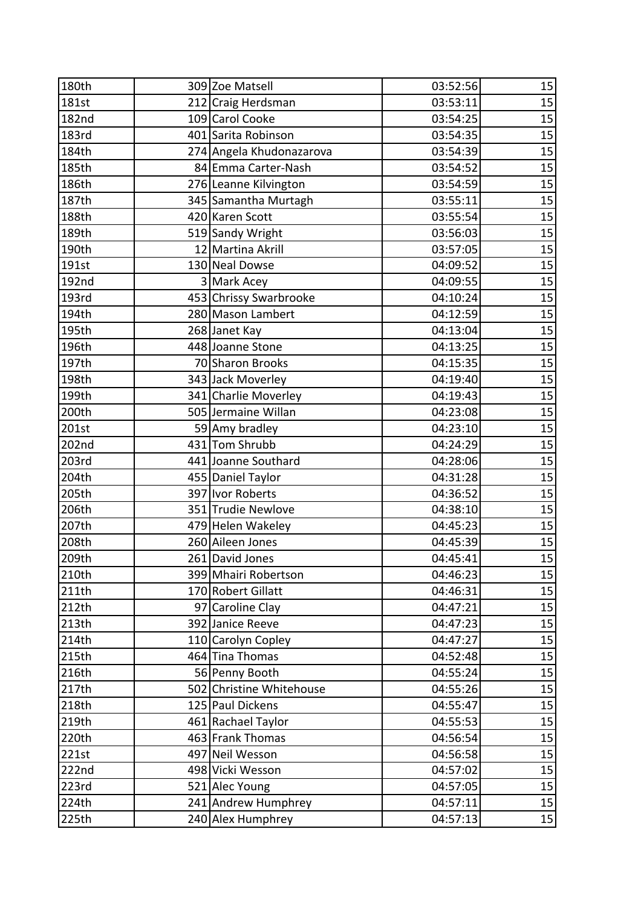| 180th        | 309 Zoe Matsell          | 03:52:56 | 15 |
|--------------|--------------------------|----------|----|
| 181st        | 212 Craig Herdsman       | 03:53:11 | 15 |
| <b>182nd</b> | 109 Carol Cooke          | 03:54:25 | 15 |
| 183rd        | 401 Sarita Robinson      | 03:54:35 | 15 |
| 184th        | 274 Angela Khudonazarova | 03:54:39 | 15 |
| 185th        | 84 Emma Carter-Nash      | 03:54:52 | 15 |
| 186th        | 276 Leanne Kilvington    | 03:54:59 | 15 |
| 187th        | 345 Samantha Murtagh     | 03:55:11 | 15 |
| 188th        | 420 Karen Scott          | 03:55:54 | 15 |
| 189th        | 519 Sandy Wright         | 03:56:03 | 15 |
| 190th        | 12 Martina Akrill        | 03:57:05 | 15 |
| 191st        | 130 Neal Dowse           | 04:09:52 | 15 |
| 192nd        | 3 Mark Acey              | 04:09:55 | 15 |
| 193rd        | 453 Chrissy Swarbrooke   | 04:10:24 | 15 |
| 194th        | 280 Mason Lambert        | 04:12:59 | 15 |
| 195th        | 268 Janet Kay            | 04:13:04 | 15 |
| 196th        | 448 Joanne Stone         | 04:13:25 | 15 |
| 197th        | 70 Sharon Brooks         | 04:15:35 | 15 |
| 198th        | 343 Jack Moverley        | 04:19:40 | 15 |
| 199th        | 341 Charlie Moverley     | 04:19:43 | 15 |
| 200th        | 505 Jermaine Willan      | 04:23:08 | 15 |
| 201st        | 59 Amy bradley           | 04:23:10 | 15 |
| 202nd        | 431 Tom Shrubb           | 04:24:29 | 15 |
| 203rd        | 441 Joanne Southard      | 04:28:06 | 15 |
| 204th        | 455 Daniel Taylor        | 04:31:28 | 15 |
| 205th        | 397 Ivor Roberts         | 04:36:52 | 15 |
| 206th        | 351 Trudie Newlove       | 04:38:10 | 15 |
| 207th        | 479 Helen Wakeley        | 04:45:23 | 15 |
| 208th        | 260 Aileen Jones         | 04:45:39 | 15 |
| 209th        | 261 David Jones          | 04:45:41 | 15 |
| 210th        | 399 Mhairi Robertson     | 04:46:23 | 15 |
| 211th        | 170 Robert Gillatt       | 04:46:31 | 15 |
| 212th        | 97 Caroline Clay         | 04:47:21 | 15 |
| 213th        | 392 Janice Reeve         | 04:47:23 | 15 |
| 214th        | 110 Carolyn Copley       | 04:47:27 | 15 |
| 215th        | 464 Tina Thomas          | 04:52:48 | 15 |
| 216th        | 56 Penny Booth           | 04:55:24 | 15 |
| 217th        | 502 Christine Whitehouse | 04:55:26 | 15 |
| 218th        | 125 Paul Dickens         | 04:55:47 | 15 |
| 219th        | 461 Rachael Taylor       | 04:55:53 | 15 |
| 220th        | 463 Frank Thomas         | 04:56:54 | 15 |
| 221st        | 497 Neil Wesson          | 04:56:58 | 15 |
| 222nd        | 498 Vicki Wesson         | 04:57:02 | 15 |
| 223rd        | 521 Alec Young           | 04:57:05 | 15 |
| 224th        | 241 Andrew Humphrey      | 04:57:11 | 15 |
| 225th        | 240 Alex Humphrey        | 04:57:13 | 15 |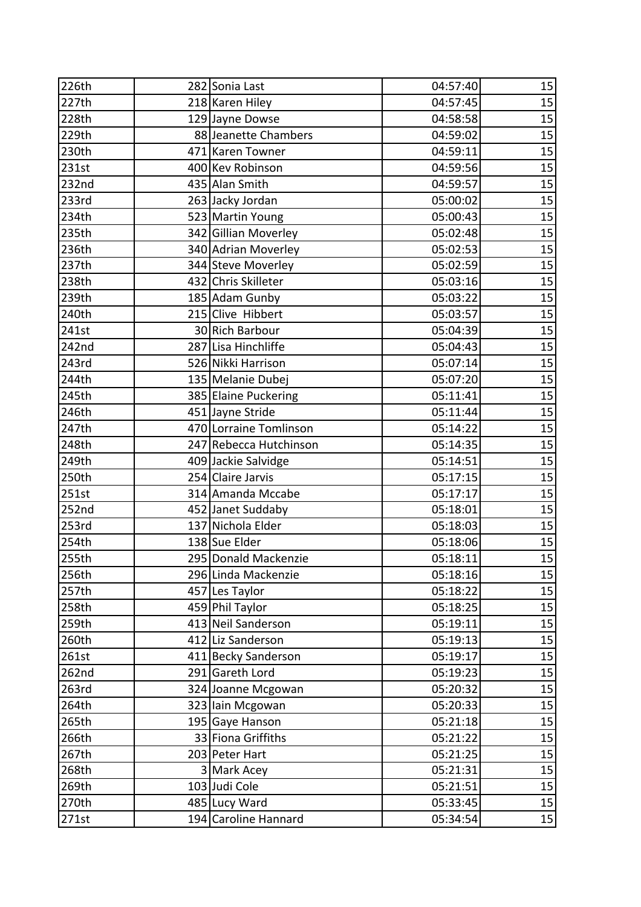| 226th | 282 Sonia Last         | 04:57:40 | 15 |
|-------|------------------------|----------|----|
| 227th | 218 Karen Hiley        | 04:57:45 | 15 |
| 228th | 129 Jayne Dowse        | 04:58:58 | 15 |
| 229th | 88 Jeanette Chambers   | 04:59:02 | 15 |
| 230th | 471 Karen Towner       | 04:59:11 | 15 |
| 231st | 400 Kev Robinson       | 04:59:56 | 15 |
| 232nd | 435 Alan Smith         | 04:59:57 | 15 |
| 233rd | 263 Jacky Jordan       | 05:00:02 | 15 |
| 234th | 523 Martin Young       | 05:00:43 | 15 |
| 235th | 342 Gillian Moverley   | 05:02:48 | 15 |
| 236th | 340 Adrian Moverley    | 05:02:53 | 15 |
| 237th | 344 Steve Moverley     | 05:02:59 | 15 |
| 238th | 432 Chris Skilleter    | 05:03:16 | 15 |
| 239th | 185 Adam Gunby         | 05:03:22 | 15 |
| 240th | 215 Clive Hibbert      | 05:03:57 | 15 |
| 241st | 30 Rich Barbour        | 05:04:39 | 15 |
| 242nd | 287 Lisa Hinchliffe    | 05:04:43 | 15 |
| 243rd | 526 Nikki Harrison     | 05:07:14 | 15 |
| 244th | 135 Melanie Dubej      | 05:07:20 | 15 |
| 245th | 385 Elaine Puckering   | 05:11:41 | 15 |
| 246th | 451 Jayne Stride       | 05:11:44 | 15 |
| 247th | 470 Lorraine Tomlinson | 05:14:22 | 15 |
| 248th | 247 Rebecca Hutchinson | 05:14:35 | 15 |
| 249th | 409 Jackie Salvidge    | 05:14:51 | 15 |
| 250th | 254 Claire Jarvis      | 05:17:15 | 15 |
| 251st | 314 Amanda Mccabe      | 05:17:17 | 15 |
| 252nd | 452 Janet Suddaby      | 05:18:01 | 15 |
| 253rd | 137 Nichola Elder      | 05:18:03 | 15 |
| 254th | 138 Sue Elder          | 05:18:06 | 15 |
| 255th | 295 Donald Mackenzie   | 05:18:11 | 15 |
| 256th | 296 Linda Mackenzie    | 05:18:16 | 15 |
| 257th | 457 Les Taylor         | 05:18:22 | 15 |
| 258th | 459 Phil Taylor        | 05:18:25 | 15 |
| 259th | 413 Neil Sanderson     | 05:19:11 | 15 |
| 260th | 412 Liz Sanderson      | 05:19:13 | 15 |
| 261st | 411 Becky Sanderson    | 05:19:17 | 15 |
| 262nd | 291 Gareth Lord        | 05:19:23 | 15 |
| 263rd | 324 Joanne Mcgowan     | 05:20:32 | 15 |
| 264th | 323 Iain Mcgowan       | 05:20:33 | 15 |
| 265th | 195 Gaye Hanson        | 05:21:18 | 15 |
| 266th | 33 Fiona Griffiths     | 05:21:22 | 15 |
| 267th | 203 Peter Hart         | 05:21:25 | 15 |
| 268th | 3 Mark Acey            | 05:21:31 | 15 |
| 269th | 103 Judi Cole          | 05:21:51 | 15 |
| 270th | 485 Lucy Ward          | 05:33:45 | 15 |
| 271st | 194 Caroline Hannard   | 05:34:54 | 15 |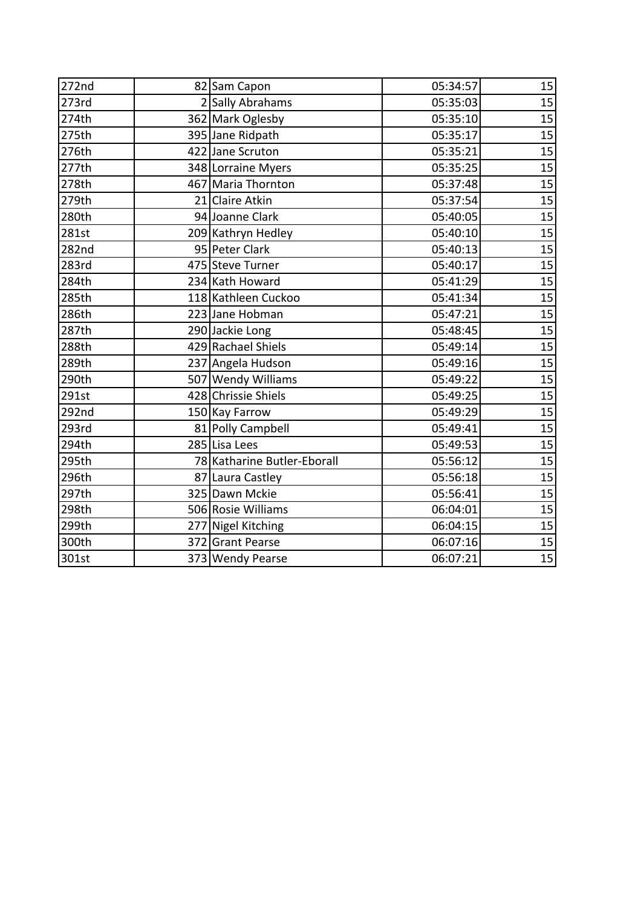| 272nd | 82 Sam Capon                | 05:34:57 | 15 |
|-------|-----------------------------|----------|----|
| 273rd | 2 Sally Abrahams            | 05:35:03 | 15 |
| 274th | 362 Mark Oglesby            | 05:35:10 | 15 |
| 275th | 395 Jane Ridpath            | 05:35:17 | 15 |
| 276th | 422 Jane Scruton            | 05:35:21 | 15 |
| 277th | 348 Lorraine Myers          | 05:35:25 | 15 |
| 278th | 467 Maria Thornton          | 05:37:48 | 15 |
| 279th | 21 Claire Atkin             | 05:37:54 | 15 |
| 280th | 94 Joanne Clark             | 05:40:05 | 15 |
| 281st | 209 Kathryn Hedley          | 05:40:10 | 15 |
| 282nd | 95 Peter Clark              | 05:40:13 | 15 |
| 283rd | 475 Steve Turner            | 05:40:17 | 15 |
| 284th | 234 Kath Howard             | 05:41:29 | 15 |
| 285th | 118 Kathleen Cuckoo         | 05:41:34 | 15 |
| 286th | 223 Jane Hobman             | 05:47:21 | 15 |
| 287th | 290 Jackie Long             | 05:48:45 | 15 |
| 288th | 429 Rachael Shiels          | 05:49:14 | 15 |
| 289th | 237 Angela Hudson           | 05:49:16 | 15 |
| 290th | 507 Wendy Williams          | 05:49:22 | 15 |
| 291st | 428 Chrissie Shiels         | 05:49:25 | 15 |
| 292nd | 150 Kay Farrow              | 05:49:29 | 15 |
| 293rd | 81 Polly Campbell           | 05:49:41 | 15 |
| 294th | 285 Lisa Lees               | 05:49:53 | 15 |
| 295th | 78 Katharine Butler-Eborall | 05:56:12 | 15 |
| 296th | 87 Laura Castley            | 05:56:18 | 15 |
| 297th | 325 Dawn Mckie              | 05:56:41 | 15 |
| 298th | 506 Rosie Williams          | 06:04:01 | 15 |
| 299th | 277 Nigel Kitching          | 06:04:15 | 15 |
| 300th | 372 Grant Pearse            | 06:07:16 | 15 |
| 301st | 373 Wendy Pearse            | 06:07:21 | 15 |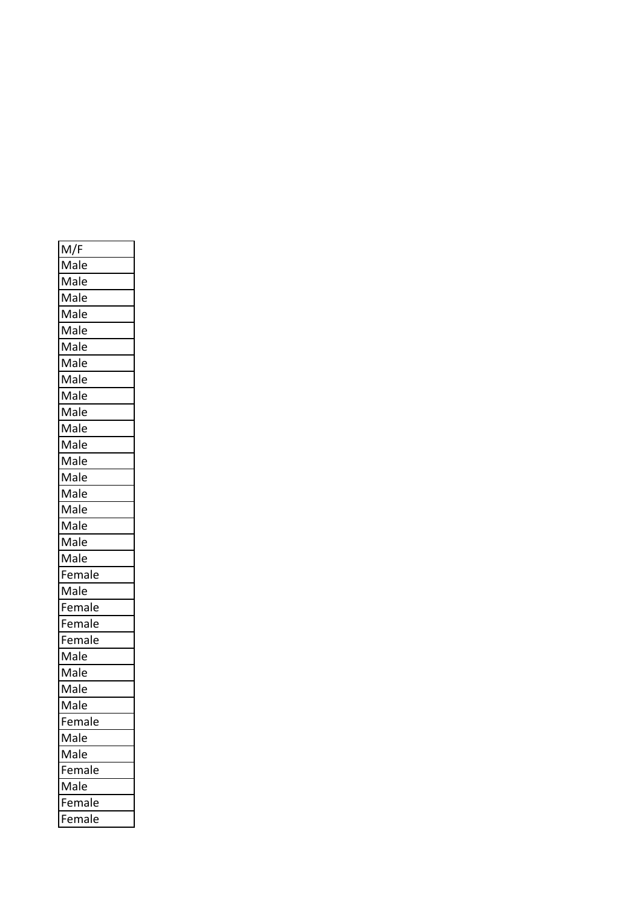| M/F    |
|--------|
| Male   |
| Male   |
| Male   |
| Male   |
| Male   |
| Male   |
| Male   |
| Male   |
| Male   |
| Male   |
| Male   |
| Male   |
| Male   |
| Male   |
| Male   |
| Male   |
| Male   |
| Male   |
| Male   |
| Female |
| Male   |
| Female |
| Female |
| Female |
| Male   |
| Male   |
| Male   |
| Male   |
| emale  |
| Male   |
| Male   |
| Female |
| Male   |
| Female |
| Female |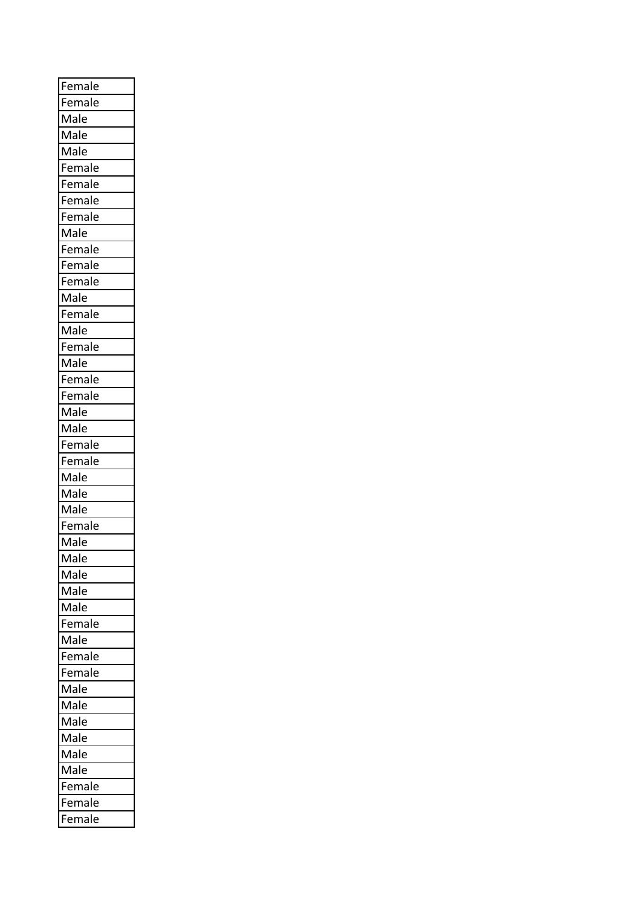| Female |
|--------|
| Female |
| Male   |
| Male   |
| Male   |
| Female |
| Female |
| Female |
| Female |
| Male   |
| Female |
| Female |
| Female |
| Male   |
| Female |
| Male   |
| Female |
| Male   |
| Female |
| Female |
| Male   |
| Male   |
| Female |
| Female |
| Male   |
| Male   |
| Male   |
| Female |
| Male   |
| Male   |
| Male   |
| Male   |
| Male   |
| Female |
| Male   |
| Female |
| Female |
| Male   |
| Male   |
| Male   |
| Male   |
| Male   |
| Male   |
| Female |
| Female |
| Female |
|        |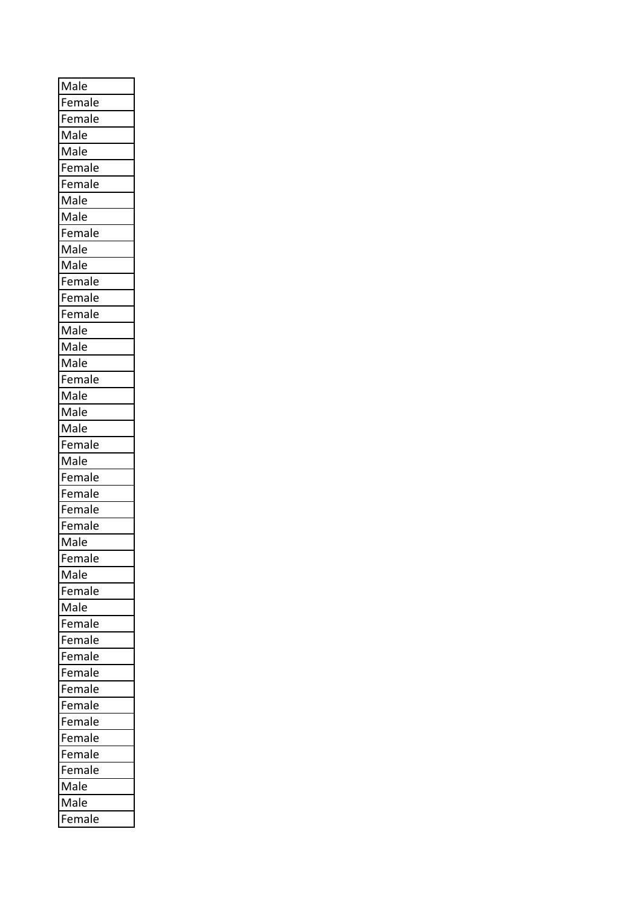| Male   |
|--------|
| Female |
| Female |
| Male   |
| Male   |
| Female |
| Female |
| Male   |
| Male   |
| Female |
| Male   |
| Male   |
| Female |
| Female |
| Female |
| Male   |
| Male   |
| Male   |
| Female |
| Male   |
| Male   |
| Male   |
| Female |
| Male   |
| Female |
| Female |
| Female |
| Female |
| Male   |
| Female |
| Male   |
| Female |
| Male   |
| Female |
| Female |
| Female |
| Female |
| Female |
| Female |
| Female |
| Female |
| Female |
| Female |
| Male   |
| Male   |
| Female |
|        |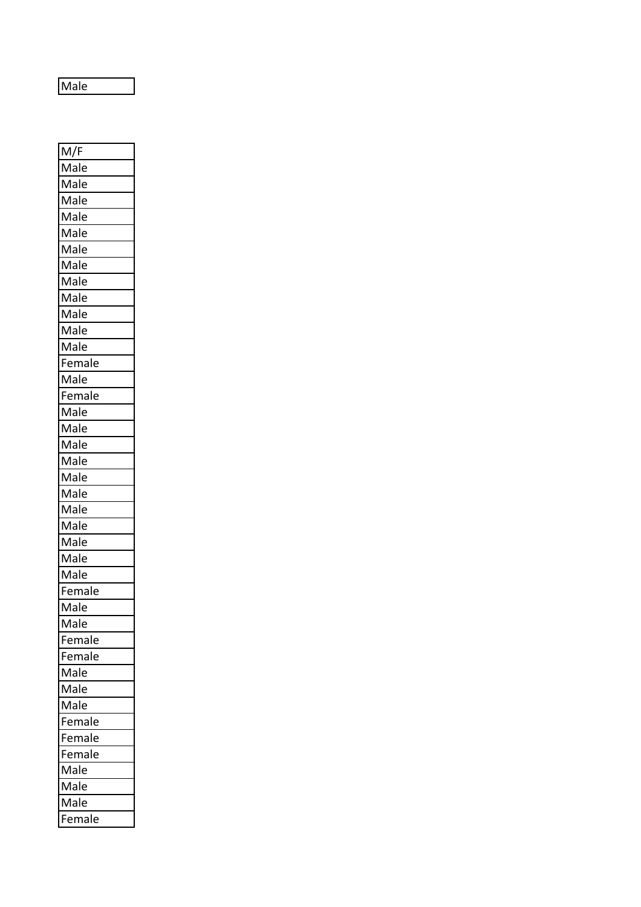Male

M/F Male Male Male Male Male Male Male Male Male **Male** Male Male Female Male Female Male Male Male Male Male Male Male **Male** Male Male Male Female Male Male Female Female Male Male Male Female Female Female Male Male Male Female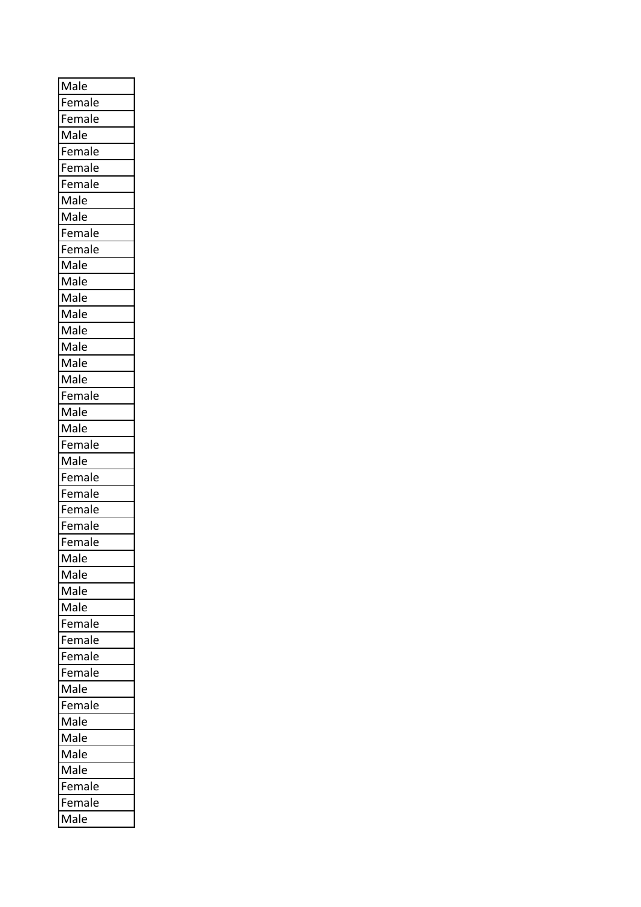| Female<br>Female<br>Male<br>Female<br>Female<br>Female<br>Male<br>Male<br>Female<br>Female<br>Male<br>Male<br>Male<br>Male<br>Male<br>Male<br>Male<br>Male<br>Female<br>Male<br>Male<br>Female<br>Male<br>Female<br>Female<br>Female<br>Female<br>Female<br>Male<br>Male<br>Male<br>Male<br>Female<br>Female<br>Female<br>Female<br>Male<br>Female<br>Male<br>Male<br>Male<br>Male<br>Female<br>Female | Male |
|--------------------------------------------------------------------------------------------------------------------------------------------------------------------------------------------------------------------------------------------------------------------------------------------------------------------------------------------------------------------------------------------------------|------|
|                                                                                                                                                                                                                                                                                                                                                                                                        |      |
|                                                                                                                                                                                                                                                                                                                                                                                                        |      |
|                                                                                                                                                                                                                                                                                                                                                                                                        |      |
|                                                                                                                                                                                                                                                                                                                                                                                                        |      |
|                                                                                                                                                                                                                                                                                                                                                                                                        |      |
|                                                                                                                                                                                                                                                                                                                                                                                                        |      |
|                                                                                                                                                                                                                                                                                                                                                                                                        |      |
|                                                                                                                                                                                                                                                                                                                                                                                                        |      |
|                                                                                                                                                                                                                                                                                                                                                                                                        |      |
|                                                                                                                                                                                                                                                                                                                                                                                                        |      |
|                                                                                                                                                                                                                                                                                                                                                                                                        |      |
|                                                                                                                                                                                                                                                                                                                                                                                                        |      |
|                                                                                                                                                                                                                                                                                                                                                                                                        |      |
|                                                                                                                                                                                                                                                                                                                                                                                                        |      |
|                                                                                                                                                                                                                                                                                                                                                                                                        |      |
|                                                                                                                                                                                                                                                                                                                                                                                                        |      |
|                                                                                                                                                                                                                                                                                                                                                                                                        |      |
|                                                                                                                                                                                                                                                                                                                                                                                                        |      |
|                                                                                                                                                                                                                                                                                                                                                                                                        |      |
|                                                                                                                                                                                                                                                                                                                                                                                                        |      |
|                                                                                                                                                                                                                                                                                                                                                                                                        |      |
|                                                                                                                                                                                                                                                                                                                                                                                                        |      |
|                                                                                                                                                                                                                                                                                                                                                                                                        |      |
|                                                                                                                                                                                                                                                                                                                                                                                                        |      |
|                                                                                                                                                                                                                                                                                                                                                                                                        |      |
|                                                                                                                                                                                                                                                                                                                                                                                                        |      |
|                                                                                                                                                                                                                                                                                                                                                                                                        |      |
|                                                                                                                                                                                                                                                                                                                                                                                                        |      |
|                                                                                                                                                                                                                                                                                                                                                                                                        |      |
|                                                                                                                                                                                                                                                                                                                                                                                                        |      |
|                                                                                                                                                                                                                                                                                                                                                                                                        |      |
|                                                                                                                                                                                                                                                                                                                                                                                                        |      |
|                                                                                                                                                                                                                                                                                                                                                                                                        |      |
|                                                                                                                                                                                                                                                                                                                                                                                                        |      |
|                                                                                                                                                                                                                                                                                                                                                                                                        |      |
|                                                                                                                                                                                                                                                                                                                                                                                                        |      |
|                                                                                                                                                                                                                                                                                                                                                                                                        |      |
|                                                                                                                                                                                                                                                                                                                                                                                                        |      |
|                                                                                                                                                                                                                                                                                                                                                                                                        |      |
|                                                                                                                                                                                                                                                                                                                                                                                                        |      |
|                                                                                                                                                                                                                                                                                                                                                                                                        |      |
|                                                                                                                                                                                                                                                                                                                                                                                                        |      |
|                                                                                                                                                                                                                                                                                                                                                                                                        |      |
|                                                                                                                                                                                                                                                                                                                                                                                                        |      |
|                                                                                                                                                                                                                                                                                                                                                                                                        | Male |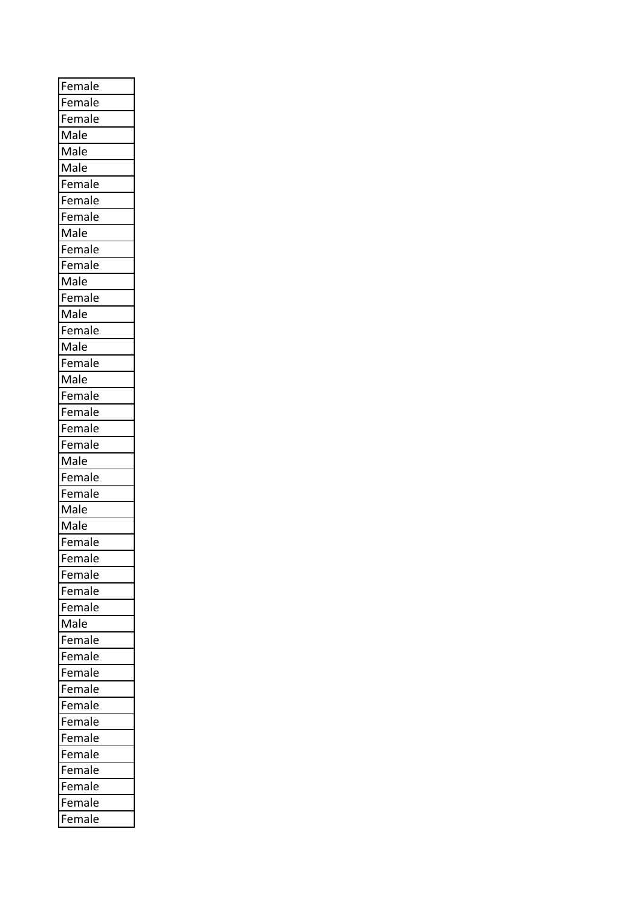| Female |
|--------|
| Female |
| Female |
| Male   |
| Male   |
| Male   |
| Female |
| Female |
| Female |
| Male   |
| Female |
| Female |
| Male   |
| Female |
| Male   |
| Female |
| Male   |
| Female |
| Male   |
| Female |
| Female |
| Female |
| Female |
| Male   |
| Female |
|        |
| Female |
| Male   |
| Male   |
| Female |
| Female |
| Female |
| Female |
| Female |
| Male   |
| Female |
| Female |
| Female |
| Female |
| Female |
| Female |
| Female |
| Female |
| Female |
| Female |
| Female |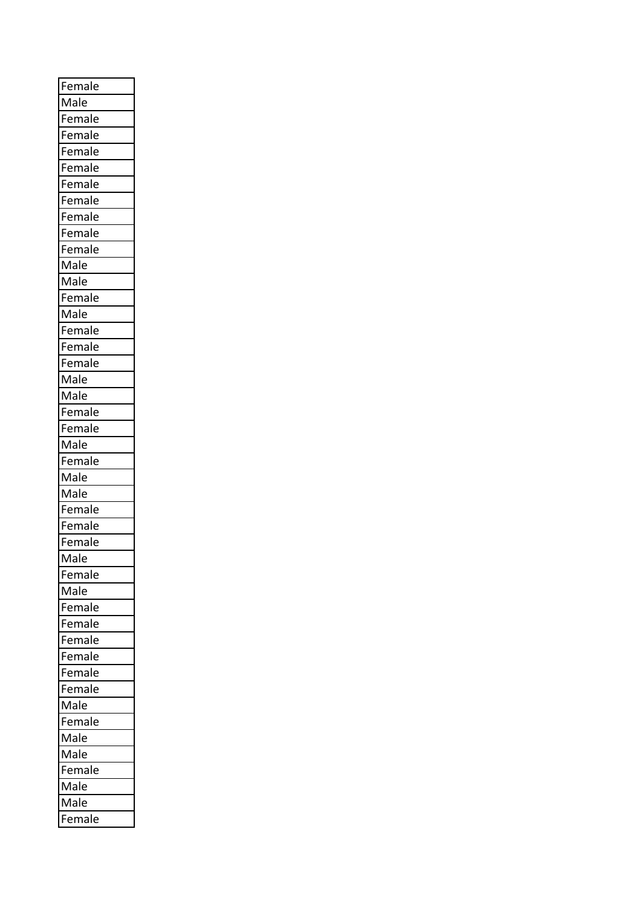| Female |
|--------|
| Male   |
| Female |
| Female |
| Female |
| Female |
| Female |
| Female |
| Female |
| Female |
| Female |
| Male   |
| Male   |
| Female |
| Male   |
| Female |
| Female |
| Female |
| Male   |
| Male   |
| Female |
| Female |
| Male   |
| Female |
| Male   |
| Male   |
| Female |
| Female |
| Female |
| Male   |
| Female |
| Male   |
| Female |
| Female |
| Female |
| Female |
| Female |
| Female |
| Male   |
| Female |
| Male   |
| Male   |
| Female |
|        |
| Male   |
| Male   |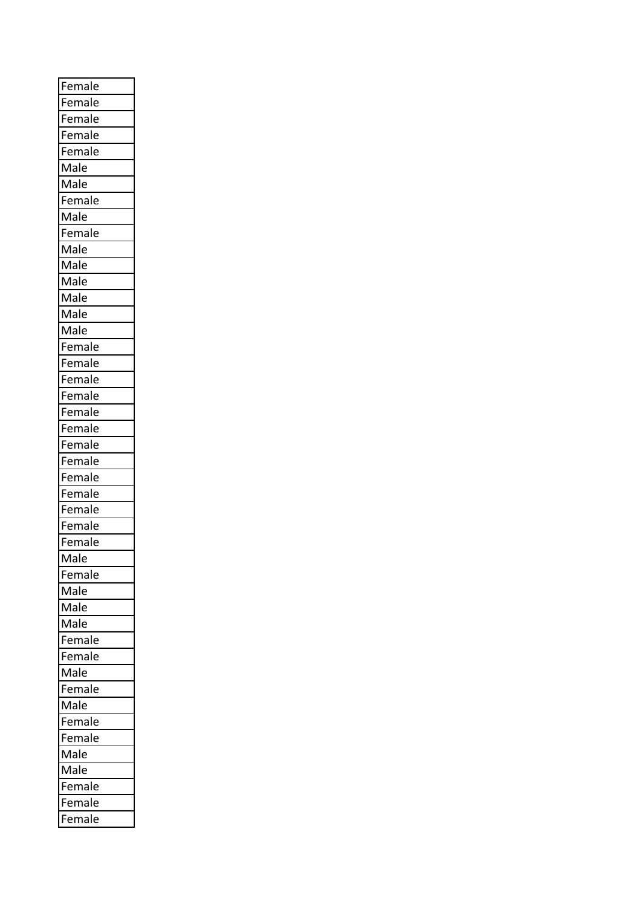| Female |
|--------|
| Female |
| Female |
| Female |
| Female |
| Male   |
| Male   |
| Female |
| Male   |
| Female |
| Male   |
| Male   |
| Male   |
| Male   |
| Male   |
| Male   |
| Female |
| Female |
| Female |
| Female |
| Female |
| Female |
| Female |
| Female |
| Female |
| Female |
| Female |
| Female |
| Female |
| Male   |
| Female |
| Male   |
| Male   |
| Male   |
| Female |
| Female |
| Male   |
| Female |
| Male   |
| Female |
| Female |
| Male   |
| Male   |
| Female |
| Female |
| Female |
|        |